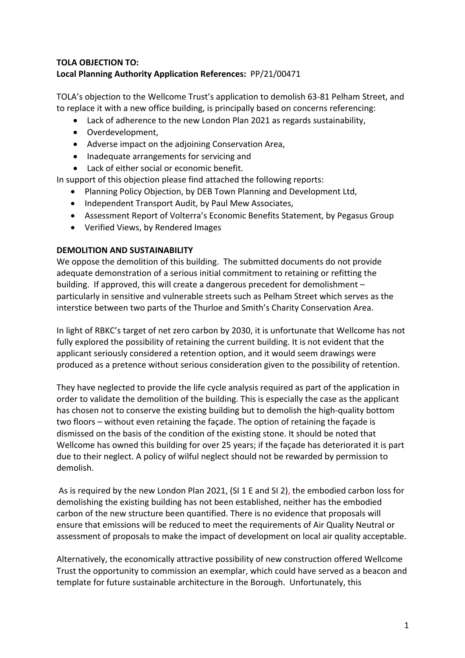## **TOLA OBJECTION TO: Local Planning Authority Application References:** PP/21/00471

TOLA's objection to the Wellcome Trust's application to demolish 63-81 Pelham Street, and to replace it with a new office building, is principally based on concerns referencing:

- Lack of adherence to the new London Plan 2021 as regards sustainability,
- Overdevelopment,
- Adverse impact on the adjoining Conservation Area,
- Inadequate arrangements for servicing and
- Lack of either social or economic benefit.

In support of this objection please find attached the following reports:

- Planning Policy Objection, by DEB Town Planning and Development Ltd,
- Independent Transport Audit, by Paul Mew Associates,
- Assessment Report of Volterra's Economic Benefits Statement, by Pegasus Group
- Verified Views, by Rendered Images

## **DEMOLITION AND SUSTAINABILITY**

We oppose the demolition of this building. The submitted documents do not provide adequate demonstration of a serious initial commitment to retaining or refitting the building. If approved, this will create a dangerous precedent for demolishment – particularly in sensitive and vulnerable streets such as Pelham Street which serves as the interstice between two parts of the Thurloe and Smith's Charity Conservation Area.

In light of RBKC's target of net zero carbon by 2030, it is unfortunate that Wellcome has not fully explored the possibility of retaining the current building. It is not evident that the applicant seriously considered a retention option, and it would seem drawings were produced as a pretence without serious consideration given to the possibility of retention.

They have neglected to provide the life cycle analysis required as part of the application in order to validate the demolition of the building. This is especially the case as the applicant has chosen not to conserve the existing building but to demolish the high-quality bottom two floors – without even retaining the façade. The option of retaining the façade is dismissed on the basis of the condition of the existing stone. It should be noted that Wellcome has owned this building for over 25 years; if the façade has deteriorated it is part due to their neglect. A policy of wilful neglect should not be rewarded by permission to demolish.

As is required by the new London Plan 2021, (SI 1 E and SI 2), the embodied carbon loss for demolishing the existing building has not been established, neither has the embodied carbon of the new structure been quantified. There is no evidence that proposals will ensure that emissions will be reduced to meet the requirements of Air Quality Neutral or assessment of proposals to make the impact of development on local air quality acceptable.

Alternatively, the economically attractive possibility of new construction offered Wellcome Trust the opportunity to commission an exemplar, which could have served as a beacon and template for future sustainable architecture in the Borough. Unfortunately, this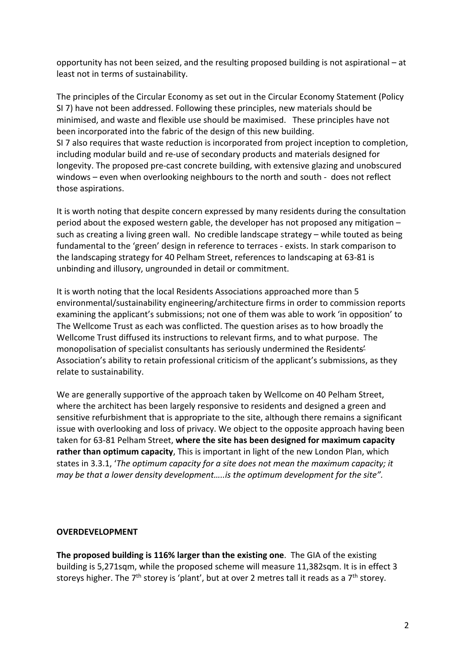opportunity has not been seized, and the resulting proposed building is not aspirational – at least not in terms of sustainability.

The principles of the Circular Economy as set out in the Circular Economy Statement (Policy SI 7) have not been addressed. Following these principles, new materials should be minimised, and waste and flexible use should be maximised. These principles have not been incorporated into the fabric of the design of this new building. SI 7 also requires that waste reduction is incorporated from project inception to completion, including modular build and re-use of secondary products and materials designed for longevity. The proposed pre-cast concrete building, with extensive glazing and unobscured windows – even when overlooking neighbours to the north and south - does not reflect those aspirations.

It is worth noting that despite concern expressed by many residents during the consultation period about the exposed western gable, the developer has not proposed any mitigation – such as creating a living green wall. No credible landscape strategy – while touted as being fundamental to the 'green' design in reference to terraces - exists. In stark comparison to the landscaping strategy for 40 Pelham Street, references to landscaping at 63-81 is unbinding and illusory, ungrounded in detail or commitment.

It is worth noting that the local Residents Associations approached more than 5 environmental/sustainability engineering/architecture firms in order to commission reports examining the applicant's submissions; not one of them was able to work 'in opposition' to The Wellcome Trust as each was conflicted. The question arises as to how broadly the Wellcome Trust diffused its instructions to relevant firms, and to what purpose. The monopolisation of specialist consultants has seriously undermined the Residents' Association's ability to retain professional criticism of the applicant's submissions, as they relate to sustainability.

We are generally supportive of the approach taken by Wellcome on 40 Pelham Street, where the architect has been largely responsive to residents and designed a green and sensitive refurbishment that is appropriate to the site, although there remains a significant issue with overlooking and loss of privacy. We object to the opposite approach having been taken for 63-81 Pelham Street, **where the site has been designed for maximum capacity rather than optimum capacity**, This is important in light of the new London Plan, which states in 3.3.1, '*The optimum capacity for a site does not mean the maximum capacity; it may be that a lower density development…..is the optimum development for the site".* 

### **OVERDEVELOPMENT**

**The proposed building is 116% larger than the existing one**. The GIA of the existing building is 5,271sqm, while the proposed scheme will measure 11,382sqm. It is in effect 3 storeys higher. The  $7<sup>th</sup>$  storey is 'plant', but at over 2 metres tall it reads as a  $7<sup>th</sup>$  storey.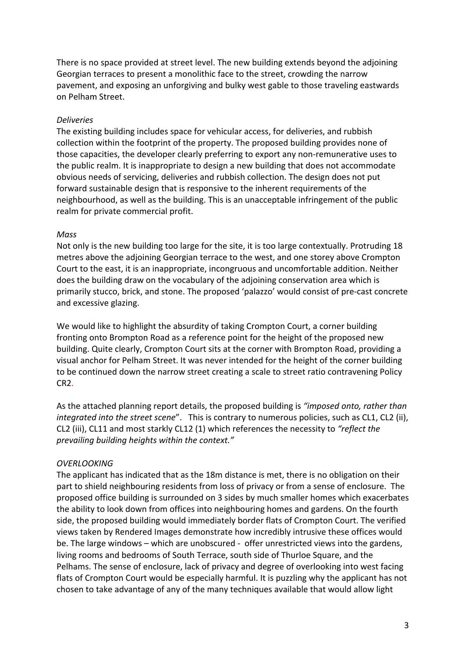There is no space provided at street level. The new building extends beyond the adjoining Georgian terraces to present a monolithic face to the street, crowding the narrow pavement, and exposing an unforgiving and bulky west gable to those traveling eastwards on Pelham Street.

### *Deliveries*

The existing building includes space for vehicular access, for deliveries, and rubbish collection within the footprint of the property. The proposed building provides none of those capacities, the developer clearly preferring to export any non-remunerative uses to the public realm. It is inappropriate to design a new building that does not accommodate obvious needs of servicing, deliveries and rubbish collection. The design does not put forward sustainable design that is responsive to the inherent requirements of the neighbourhood, as well as the building. This is an unacceptable infringement of the public realm for private commercial profit.

### *Mass*

Not only is the new building too large for the site, it is too large contextually. Protruding 18 metres above the adjoining Georgian terrace to the west, and one storey above Crompton Court to the east, it is an inappropriate, incongruous and uncomfortable addition. Neither does the building draw on the vocabulary of the adjoining conservation area which is primarily stucco, brick, and stone. The proposed 'palazzo' would consist of pre-cast concrete and excessive glazing.

We would like to highlight the absurdity of taking Crompton Court, a corner building fronting onto Brompton Road as a reference point for the height of the proposed new building. Quite clearly, Crompton Court sits at the corner with Brompton Road, providing a visual anchor for Pelham Street. It was never intended for the height of the corner building to be continued down the narrow street creating a scale to street ratio contravening Policy CR2.

As the attached planning report details, the proposed building is *"imposed onto, rather than integrated into the street scene*". This is contrary to numerous policies, such as CL1, CL2 (ii), CL2 (iii), CL11 and most starkly CL12 (1) which references the necessity to *"reflect the prevailing building heights within the context."*

## *OVERLOOKING*

The applicant has indicated that as the 18m distance is met, there is no obligation on their part to shield neighbouring residents from loss of privacy or from a sense of enclosure. The proposed office building is surrounded on 3 sides by much smaller homes which exacerbates the ability to look down from offices into neighbouring homes and gardens. On the fourth side, the proposed building would immediately border flats of Crompton Court. The verified views taken by Rendered Images demonstrate how incredibly intrusive these offices would be. The large windows – which are unobscured - offer unrestricted views into the gardens, living rooms and bedrooms of South Terrace, south side of Thurloe Square, and the Pelhams. The sense of enclosure, lack of privacy and degree of overlooking into west facing flats of Crompton Court would be especially harmful. It is puzzling why the applicant has not chosen to take advantage of any of the many techniques available that would allow light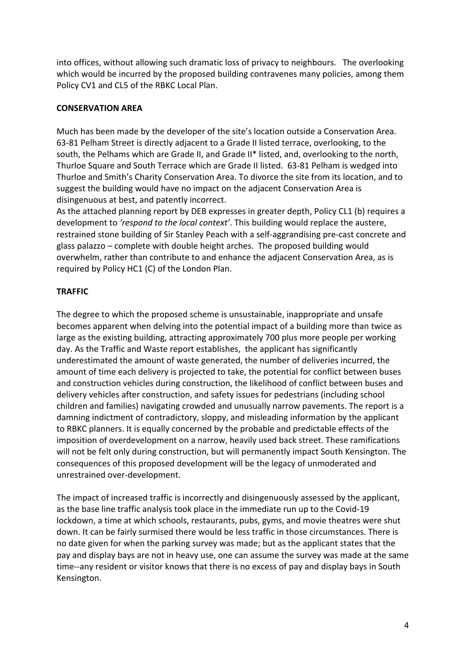into offices, without allowing such dramatic loss of privacy to neighbours. The overlooking which would be incurred by the proposed building contravenes many policies, among them Policy CV1 and CL5 of the RBKC Local Plan.

## **CONSERVATION AREA**

Much has been made by the developer of the site's location outside a Conservation Area. 63-81 Pelham Street is directly adjacent to a Grade II listed terrace, overlooking, to the south, the Pelhams which are Grade II, and Grade II\* listed, and, overlooking to the north, Thurloe Square and South Terrace which are Grade II listed. 63-81 Pelham is wedged into Thurloe and Smith's Charity Conservation Area. To divorce the site from its location, and to suggest the building would have no impact on the adjacent Conservation Area is disingenuous at best, and patently incorrect.

As the attached planning report by DEB expresses in greater depth, Policy CL1 (b) requires a development to *'respond to the local context'*. This building would replace the austere, restrained stone building of Sir Stanley Peach with a self-aggrandising pre-cast concrete and glass palazzo – complete with double height arches. The proposed building would overwhelm, rather than contribute to and enhance the adjacent Conservation Area, as is required by Policy HC1 (C) of the London Plan.

# **TRAFFIC**

The degree to which the proposed scheme is unsustainable, inappropriate and unsafe becomes apparent when delving into the potential impact of a building more than twice as large as the existing building, attracting approximately 700 plus more people per working day. As the Traffic and Waste report establishes, the applicant has significantly underestimated the amount of waste generated, the number of deliveries incurred, the amount of time each delivery is projected to take, the potential for conflict between buses and construction vehicles during construction, the likelihood of conflict between buses and delivery vehicles after construction, and safety issues for pedestrians (including school children and families) navigating crowded and unusually narrow pavements. The report is a damning indictment of contradictory, sloppy, and misleading information by the applicant to RBKC planners. It is equally concerned by the probable and predictable effects of the imposition of overdevelopment on a narrow, heavily used back street. These ramifications will not be felt only during construction, but will permanently impact South Kensington. The consequences of this proposed development will be the legacy of unmoderated and unrestrained over-development.

The impact of increased traffic is incorrectly and disingenuously assessed by the applicant, as the base line traffic analysis took place in the immediate run up to the Covid-19 lockdown, a time at which schools, restaurants, pubs, gyms, and movie theatres were shut down. It can be fairly surmised there would be less traffic in those circumstances. There is no date given for when the parking survey was made; but as the applicant states that the pay and display bays are not in heavy use, one can assume the survey was made at the same time--any resident or visitor knows that there is no excess of pay and display bays in South Kensington.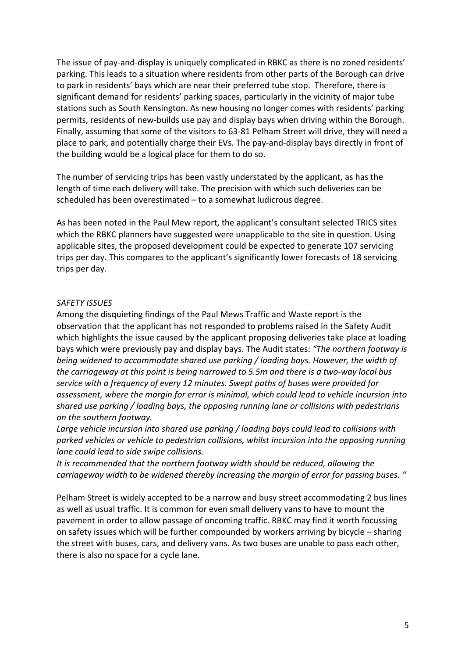The issue of pay-and-display is uniquely complicated in RBKC as there is no zoned residents' parking. This leads to a situation where residents from other parts of the Borough can drive to park in residents' bays which are near their preferred tube stop. Therefore, there is significant demand for residents' parking spaces, particularly in the vicinity of major tube stations such as South Kensington. As new housing no longer comes with residents' parking permits, residents of new-builds use pay and display bays when driving within the Borough. Finally, assuming that some of the visitors to 63-81 Pelham Street will drive, they will need a place to park, and potentially charge their EVs. The pay-and-display bays directly in front of the building would be a logical place for them to do so.

The number of servicing trips has been vastly understated by the applicant, as has the length of time each delivery will take. The precision with which such deliveries can be scheduled has been overestimated – to a somewhat ludicrous degree.

As has been noted in the Paul Mew report, the applicant's consultant selected TRICS sites which the RBKC planners have suggested were unapplicable to the site in question. Using applicable sites, the proposed development could be expected to generate 107 servicing trips per day. This compares to the applicant's significantly lower forecasts of 18 servicing trips per day.

### *SAFETY ISSUES*

Among the disquieting findings of the Paul Mews Traffic and Waste report is the observation that the applicant has not responded to problems raised in the Safety Audit which highlights the issue caused by the applicant proposing deliveries take place at loading bays which were previously pay and display bays. The Audit states: *"The northern footway is being widened to accommodate shared use parking / loading bays. However, the width of the carriageway at this point is being narrowed to 5.5m and there is a two-way local bus service with a frequency of every 12 minutes. Swept paths of buses were provided for assessment, where the margin for error is minimal, which could lead to vehicle incursion into shared use parking / loading bays, the opposing running lane or collisions with pedestrians on the southern footway.* 

*Large vehicle incursion into shared use parking / loading bays could lead to collisions with parked vehicles or vehicle to pedestrian collisions, whilst incursion into the opposing running lane could lead to side swipe collisions.* 

*It is recommended that the northern footway width should be reduced, allowing the carriageway width to be widened thereby increasing the margin of error for passing buses. "*

Pelham Street is widely accepted to be a narrow and busy street accommodating 2 bus lines as well as usual traffic. It is common for even small delivery vans to have to mount the pavement in order to allow passage of oncoming traffic. RBKC may find it worth focussing on safety issues which will be further compounded by workers arriving by bicycle – sharing the street with buses, cars, and delivery vans. As two buses are unable to pass each other, there is also no space for a cycle lane.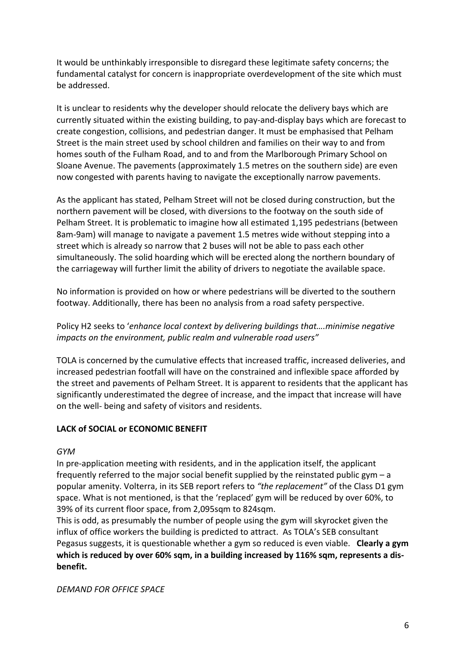It would be unthinkably irresponsible to disregard these legitimate safety concerns; the fundamental catalyst for concern is inappropriate overdevelopment of the site which must be addressed.

It is unclear to residents why the developer should relocate the delivery bays which are currently situated within the existing building, to pay-and-display bays which are forecast to create congestion, collisions, and pedestrian danger. It must be emphasised that Pelham Street is the main street used by school children and families on their way to and from homes south of the Fulham Road, and to and from the Marlborough Primary School on Sloane Avenue. The pavements (approximately 1.5 metres on the southern side) are even now congested with parents having to navigate the exceptionally narrow pavements.

As the applicant has stated, Pelham Street will not be closed during construction, but the northern pavement will be closed, with diversions to the footway on the south side of Pelham Street. It is problematic to imagine how all estimated 1,195 pedestrians (between 8am-9am) will manage to navigate a pavement 1.5 metres wide without stepping into a street which is already so narrow that 2 buses will not be able to pass each other simultaneously. The solid hoarding which will be erected along the northern boundary of the carriageway will further limit the ability of drivers to negotiate the available space.

No information is provided on how or where pedestrians will be diverted to the southern footway. Additionally, there has been no analysis from a road safety perspective.

Policy H2 seeks to '*enhance local context by delivering buildings that….minimise negative impacts on the environment, public realm and vulnerable road users"*

TOLA is concerned by the cumulative effects that increased traffic, increased deliveries, and increased pedestrian footfall will have on the constrained and inflexible space afforded by the street and pavements of Pelham Street. It is apparent to residents that the applicant has significantly underestimated the degree of increase, and the impact that increase will have on the well- being and safety of visitors and residents.

### **LACK of SOCIAL or ECONOMIC BENEFIT**

*GYM*

In pre-application meeting with residents, and in the application itself, the applicant frequently referred to the major social benefit supplied by the reinstated public gym  $-a$ popular amenity. Volterra, in its SEB report refers to *"the replacement"* of the Class D1 gym space. What is not mentioned, is that the 'replaced' gym will be reduced by over 60%, to 39% of its current floor space, from 2,095sqm to 824sqm.

This is odd, as presumably the number of people using the gym will skyrocket given the influx of office workers the building is predicted to attract. As TOLA's SEB consultant Pegasus suggests, it is questionable whether a gym so reduced is even viable. **Clearly a gym which is reduced by over 60% sqm, in a building increased by 116% sqm, represents a disbenefit.**

*DEMAND FOR OFFICE SPACE*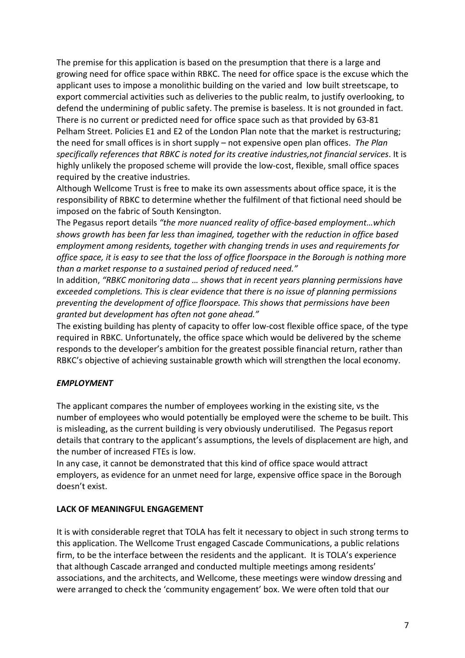The premise for this application is based on the presumption that there is a large and growing need for office space within RBKC. The need for office space is the excuse which the applicant uses to impose a monolithic building on the varied and low built streetscape, to export commercial activities such as deliveries to the public realm, to justify overlooking, to defend the undermining of public safety. The premise is baseless. It is not grounded in fact. There is no current or predicted need for office space such as that provided by 63-81 Pelham Street. Policies E1 and E2 of the London Plan note that the market is restructuring; the need for small offices is in short supply – not expensive open plan offices. *The Plan specifically references that RBKC is noted for its creative industries,not financial services*. It is highly unlikely the proposed scheme will provide the low-cost, flexible, small office spaces required by the creative industries.

Although Wellcome Trust is free to make its own assessments about office space, it is the responsibility of RBKC to determine whether the fulfilment of that fictional need should be imposed on the fabric of South Kensington.

The Pegasus report details *"the more nuanced reality of office-based employment…which shows growth has been far less than imagined, together with the reduction in office based employment among residents, together with changing trends in uses and requirements for office space, it is easy to see that the loss of office floorspace in the Borough is nothing more than a market response to a sustained period of reduced need."*

In addition, *"RBKC monitoring data … shows that in recent years planning permissions have exceeded completions. This is clear evidence that there is no issue of planning permissions preventing the development of office floorspace. This shows that permissions have been granted but development has often not gone ahead."* 

The existing building has plenty of capacity to offer low-cost flexible office space, of the type required in RBKC. Unfortunately, the office space which would be delivered by the scheme responds to the developer's ambition for the greatest possible financial return, rather than RBKC's objective of achieving sustainable growth which will strengthen the local economy.

## *EMPLOYMENT*

The applicant compares the number of employees working in the existing site, vs the number of employees who would potentially be employed were the scheme to be built. This is misleading, as the current building is very obviously underutilised. The Pegasus report details that contrary to the applicant's assumptions, the levels of displacement are high, and the number of increased FTEs is low.

In any case, it cannot be demonstrated that this kind of office space would attract employers, as evidence for an unmet need for large, expensive office space in the Borough doesn't exist.

### **LACK OF MEANINGFUL ENGAGEMENT**

It is with considerable regret that TOLA has felt it necessary to object in such strong terms to this application. The Wellcome Trust engaged Cascade Communications, a public relations firm, to be the interface between the residents and the applicant. It is TOLA's experience that although Cascade arranged and conducted multiple meetings among residents' associations, and the architects, and Wellcome, these meetings were window dressing and were arranged to check the 'community engagement' box. We were often told that our